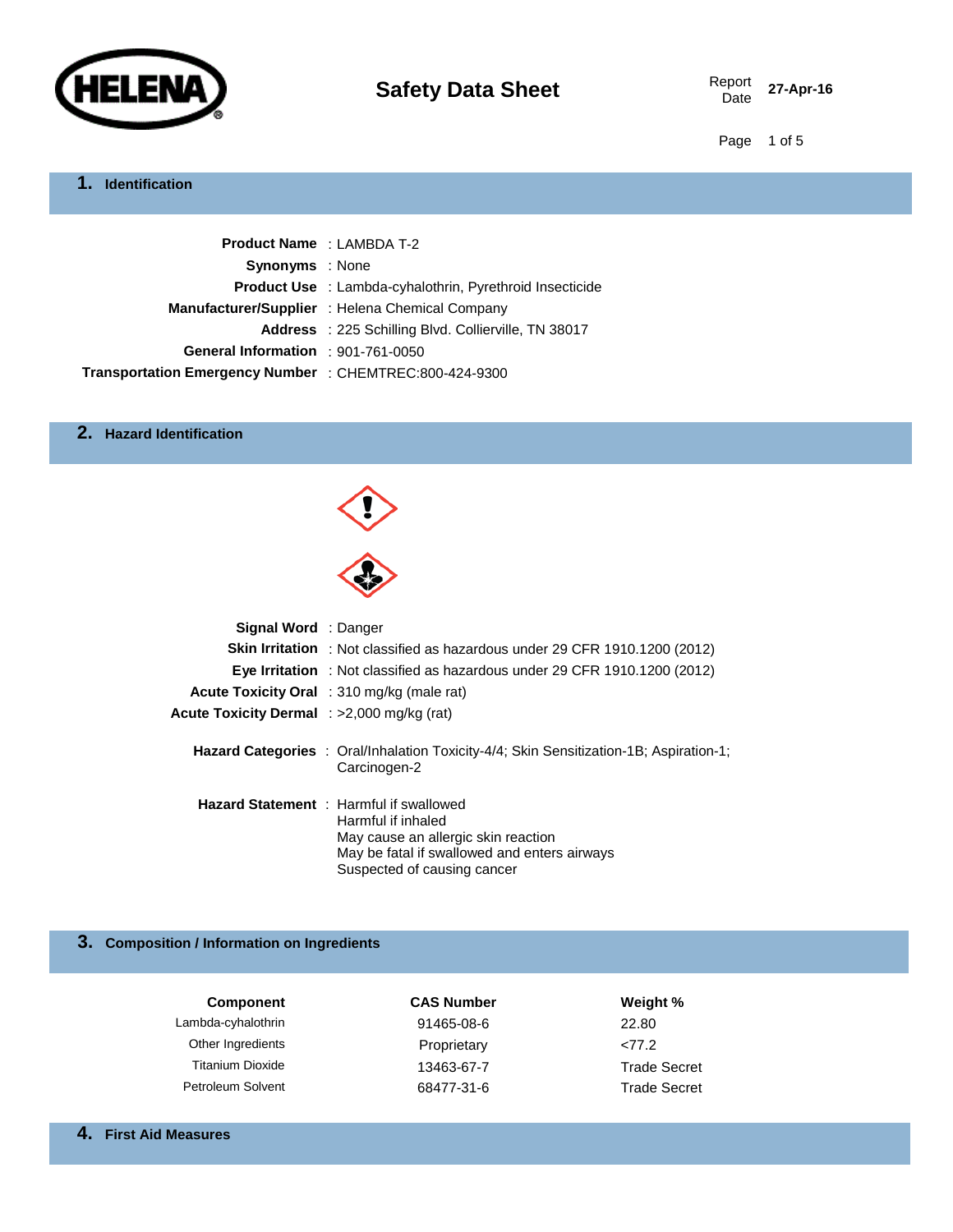

Report 27-Apr-16

Page 1 of 5

## **1. Identification**

| <b>Product Name: LAMBDA T-2</b>                         |                                                                 |
|---------------------------------------------------------|-----------------------------------------------------------------|
| <b>Synonyms</b> : None                                  |                                                                 |
|                                                         | <b>Product Use</b> : Lambda-cyhalothrin, Pyrethroid Insecticide |
|                                                         | Manufacturer/Supplier : Helena Chemical Company                 |
|                                                         | <b>Address</b> : 225 Schilling Blvd. Collierville, TN 38017     |
| General Information : 901-761-0050                      |                                                                 |
| Transportation Emergency Number : CHEMTREC:800-424-9300 |                                                                 |

### **2. Hazard Identification**



| <b>Signal Word</b> : Danger                |                                                                                                                                                                                            |
|--------------------------------------------|--------------------------------------------------------------------------------------------------------------------------------------------------------------------------------------------|
|                                            | <b>Skin Irritation</b> : Not classified as hazardous under 29 CFR 1910.1200 (2012)                                                                                                         |
|                                            | <b>Eye Irritation</b> : Not classified as hazardous under 29 CFR 1910.1200 (2012)                                                                                                          |
|                                            | Acute Toxicity Oral : 310 mg/kg (male rat)                                                                                                                                                 |
| Acute Toxicity Dermal : >2,000 mg/kg (rat) |                                                                                                                                                                                            |
|                                            | <b>Hazard Categories</b> : Oral/Inhalation Toxicity-4/4; Skin Sensitization-1B; Aspiration-1;<br>Carcinogen-2                                                                              |
|                                            | <b>Hazard Statement</b> : Harmful if swallowed<br>Harmful if inhaled<br>May cause an allergic skin reaction<br>May be fatal if swallowed and enters airways<br>Suspected of causing cancer |

## **3. Composition / Information on Ingredients**

| <b>Component</b>         | <b>CAS Number</b> | Weight %            |
|--------------------------|-------------------|---------------------|
| Lambda-cyhalothrin       | 91465-08-6        | 22.80               |
| Other Ingredients        | Proprietary       | 277.2               |
| <b>Titanium Dioxide</b>  | 13463-67-7        | <b>Trade Secret</b> |
| <b>Petroleum Solvent</b> | 68477-31-6        | <b>Trade Secret</b> |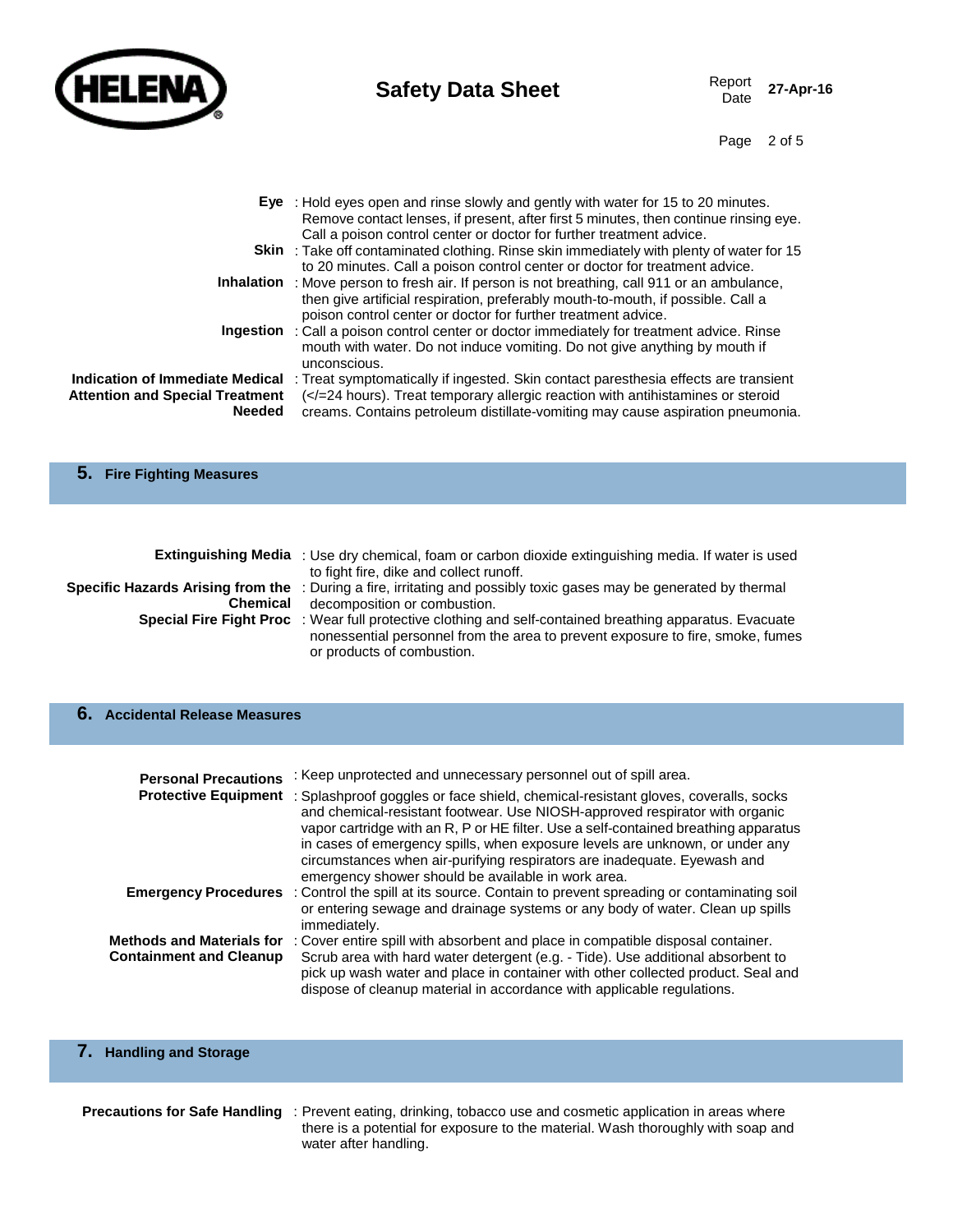

Page 2 of 5

|                                        | Eye : Hold eyes open and rinse slowly and gently with water for 15 to 20 minutes.                   |
|----------------------------------------|-----------------------------------------------------------------------------------------------------|
|                                        | Remove contact lenses, if present, after first 5 minutes, then continue rinsing eye.                |
|                                        | Call a poison control center or doctor for further treatment advice.                                |
|                                        | <b>Skin</b> : Take off contaminated clothing. Rinse skin immediately with plenty of water for 15    |
|                                        | to 20 minutes. Call a poison control center or doctor for treatment advice.                         |
|                                        | <b>Inhalation</b> : Move person to fresh air. If person is not breathing, call 911 or an ambulance, |
|                                        | then give artificial respiration, preferably mouth-to-mouth, if possible. Call a                    |
|                                        | poison control center or doctor for further treatment advice.                                       |
|                                        | <b>Ingestion</b> : Call a poison control center or doctor immediately for treatment advice. Rinse   |
|                                        | mouth with water. Do not induce vomiting. Do not give anything by mouth if                          |
|                                        | unconscious.                                                                                        |
| Indication of Immediate Medical        | : Treat symptomatically if ingested. Skin contact paresthesia effects are transient                 |
| <b>Attention and Special Treatment</b> | ( =24 hours). Treat temporary allergic reaction with antihistamines or steroid</th                  |
| <b>Needed</b>                          | creams. Contains petroleum distillate-vomiting may cause aspiration pneumonia.                      |
|                                        |                                                                                                     |
|                                        |                                                                                                     |

#### **5. Fire Fighting Measures**

|                 | <b>Extinguishing Media</b> : Use dry chemical, foam or carbon dioxide extinguishing media. If water is used<br>to fight fire, dike and collect runoff. |
|-----------------|--------------------------------------------------------------------------------------------------------------------------------------------------------|
|                 | <b>Specific Hazards Arising from the</b> : During a fire, irritating and possibly toxic gases may be generated by thermal                              |
| <b>Chemical</b> | decomposition or combustion.                                                                                                                           |
|                 | Special Fire Fight Proc : Wear full protective clothing and self-contained breathing apparatus. Evacuate                                               |
|                 | nonessential personnel from the area to prevent exposure to fire, smoke, fumes<br>or products of combustion.                                           |

#### **6. Accidental Release Measures**

| <b>Personal Precautions</b>                                        | : Keep unprotected and unnecessary personnel out of spill area.                                                                                                                                                                                                                                                                                                                                                                                                                                |
|--------------------------------------------------------------------|------------------------------------------------------------------------------------------------------------------------------------------------------------------------------------------------------------------------------------------------------------------------------------------------------------------------------------------------------------------------------------------------------------------------------------------------------------------------------------------------|
|                                                                    | Protective Equipment : Splashproof goggles or face shield, chemical-resistant gloves, coveralls, socks<br>and chemical-resistant footwear. Use NIOSH-approved respirator with organic<br>vapor cartridge with an R, P or HE filter. Use a self-contained breathing apparatus<br>in cases of emergency spills, when exposure levels are unknown, or under any<br>circumstances when air-purifying respirators are inadequate. Eyewash and<br>emergency shower should be available in work area. |
|                                                                    | <b>Emergency Procedures</b> : Control the spill at its source. Contain to prevent spreading or contaminating soil<br>or entering sewage and drainage systems or any body of water. Clean up spills<br>immediately.                                                                                                                                                                                                                                                                             |
| <b>Methods and Materials for</b><br><b>Containment and Cleanup</b> | : Cover entire spill with absorbent and place in compatible disposal container.<br>Scrub area with hard water detergent (e.g. - Tide). Use additional absorbent to<br>pick up wash water and place in container with other collected product. Seal and<br>dispose of cleanup material in accordance with applicable regulations.                                                                                                                                                               |

## **7. Handling and Storage**

**Precautions for Safe Handling** : Prevent eating, drinking, tobacco use and cosmetic application in areas where there is a potential for exposure to the material. Wash thoroughly with soap and water after handling.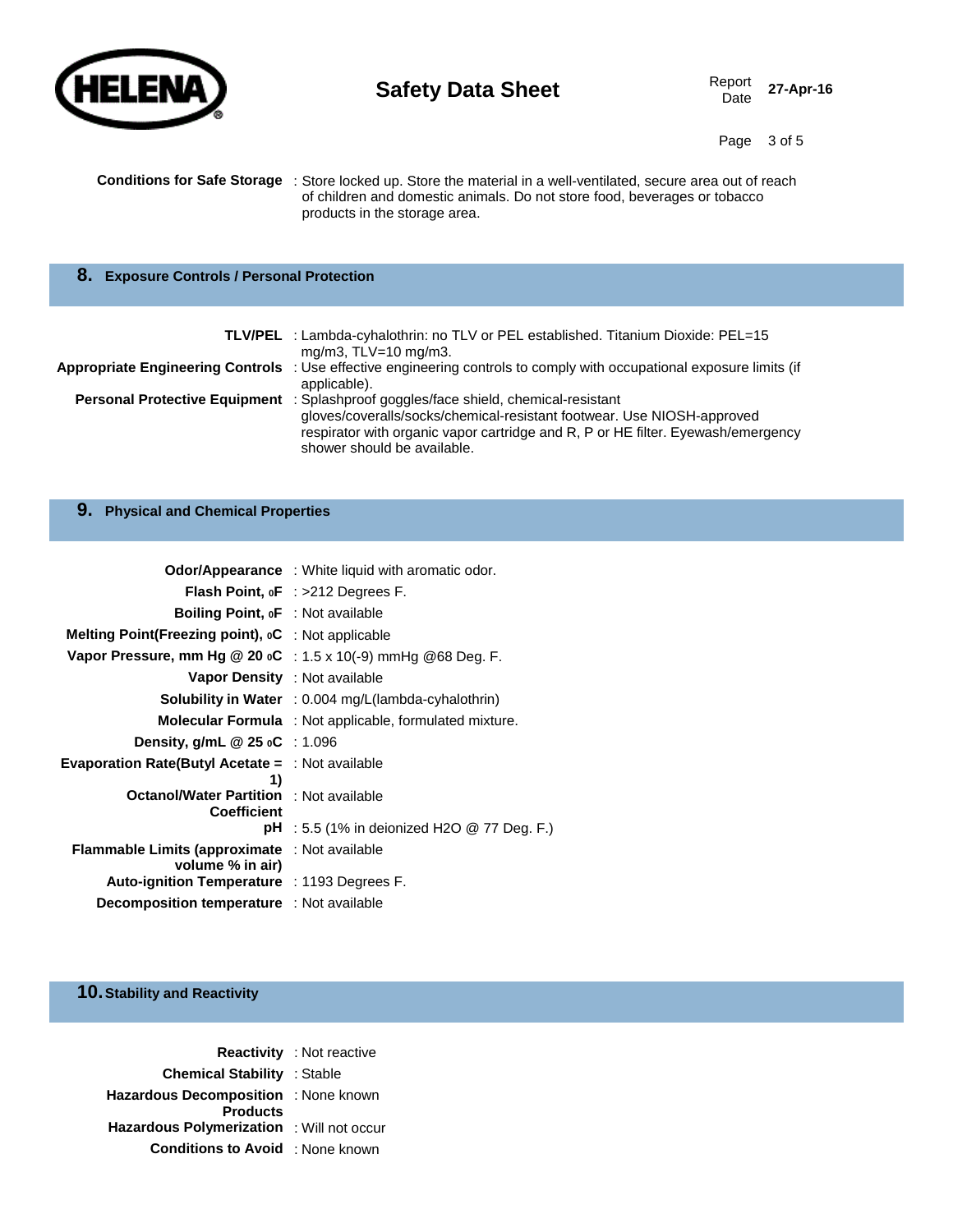

Report 27-Apr-16

Page 3 of 5

| <b>Conditions for Safe Storage</b> : Store locked up. Store the material in a well-ventilated, secure area out of reach |
|-------------------------------------------------------------------------------------------------------------------------|
| of children and domestic animals. Do not store food, beverages or tobacco                                               |
| products in the storage area.                                                                                           |

## **8. Exposure Controls / Personal Protection**

| <b>TLV/PEL</b> : Lambda-cyhalothrin: no TLV or PEL established. Titanium Dioxide: PEL=15<br>mg/m3, $TLV=10$ mg/m3.                                                                                                                                                               |
|----------------------------------------------------------------------------------------------------------------------------------------------------------------------------------------------------------------------------------------------------------------------------------|
| Appropriate Engineering Controls : Use effective engineering controls to comply with occupational exposure limits (if<br>applicable).                                                                                                                                            |
| Personal Protective Equipment : Splashproof goggles/face shield, chemical-resistant<br>gloves/coveralls/socks/chemical-resistant footwear. Use NIOSH-approved<br>respirator with organic vapor cartridge and R, P or HE filter. Eyewash/emergency<br>shower should be available. |

## **9. Physical and Chemical Properties**

|                                                                            | <b>Odor/Appearance</b> : White liquid with aromatic odor.      |
|----------------------------------------------------------------------------|----------------------------------------------------------------|
|                                                                            | <b>Flash Point, oF</b> : $>212$ Degrees F.                     |
| <b>Boiling Point, oF</b> : Not available                                   |                                                                |
| Melting Point(Freezing point), oC : Not applicable                         |                                                                |
| Vapor Pressure, mm Hg @ 20 $\circ$ C : 1.5 x 10(-9) mmHg @ 68 Deg. F.      |                                                                |
| <b>Vapor Density</b> : Not available                                       |                                                                |
|                                                                            | <b>Solubility in Water</b> : 0.004 mg/L(lambda-cyhalothrin)    |
|                                                                            | <b>Molecular Formula</b> : Not applicable, formulated mixture. |
| Density, g/mL $@25$ oC : 1.096                                             |                                                                |
| <b>Evaporation Rate(Butyl Acetate =</b> $\therefore$ Not available         |                                                                |
| 1)<br><b>Octanol/Water Partition</b> : Not available<br><b>Coefficient</b> |                                                                |
|                                                                            | <b>pH</b> : 5.5 (1% in deionized H2O $@$ 77 Deg. F.)           |
| <b>Flammable Limits (approximate</b> : Not available<br>volume % in air)   |                                                                |
| <b>Auto-ignition Temperature</b> : 1193 Degrees F.                         |                                                                |
| <b>Decomposition temperature</b> : Not available                           |                                                                |

## **10.Stability and Reactivity**

|                                                  | <b>Reactivity</b> : Not reactive |
|--------------------------------------------------|----------------------------------|
| <b>Chemical Stability : Stable</b>               |                                  |
| Hazardous Decomposition : None known             |                                  |
| <b>Products</b>                                  |                                  |
| <b>Hazardous Polymerization</b> : Will not occur |                                  |
| <b>Conditions to Avoid</b> : None known          |                                  |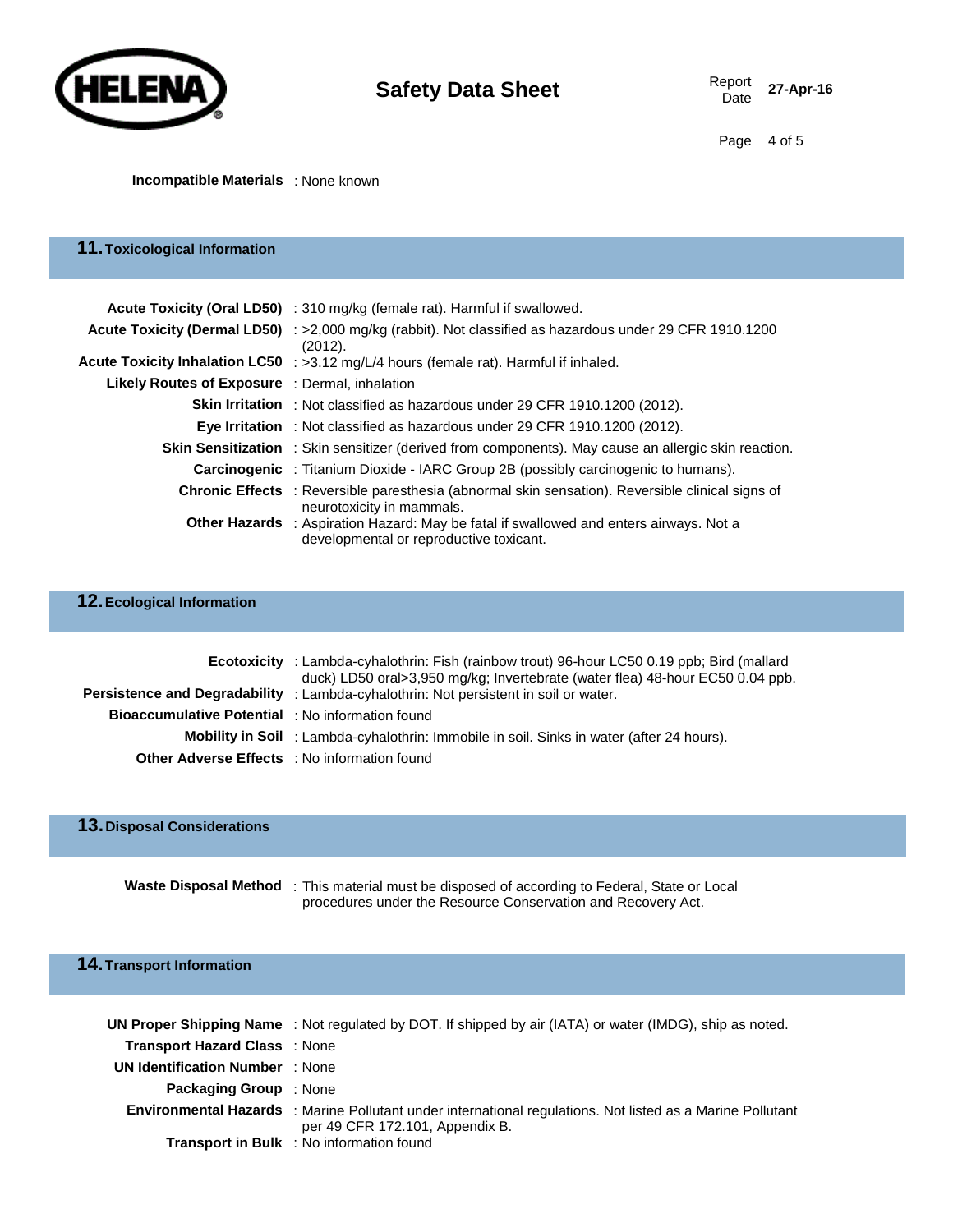

#### **Incompatible Materials** : None known

## **11.Toxicological Information**

|                                                | Acute Toxicity (Oral LD50) : 310 mg/kg (female rat). Harmful if swallowed.                                                               |
|------------------------------------------------|------------------------------------------------------------------------------------------------------------------------------------------|
|                                                | Acute Toxicity (Dermal LD50) : >2,000 mg/kg (rabbit). Not classified as hazardous under 29 CFR 1910.1200<br>(2012).                      |
|                                                | Acute Toxicity Inhalation LC50 : >3.12 mg/L/4 hours (female rat). Harmful if inhaled.                                                    |
| Likely Routes of Exposure : Dermal, inhalation |                                                                                                                                          |
|                                                | <b>Skin Irritation</b> : Not classified as hazardous under 29 CFR 1910.1200 (2012).                                                      |
|                                                | <b>Eye Irritation</b> : Not classified as hazardous under 29 CFR 1910.1200 (2012).                                                       |
|                                                | <b>Skin Sensitization</b> : Skin sensitizer (derived from components). May cause an allergic skin reaction.                              |
|                                                | <b>Carcinogenic</b> : Titanium Dioxide - IARC Group 2B (possibly carcinogenic to humans).                                                |
|                                                | Chronic Effects : Reversible paresthesia (abnormal skin sensation). Reversible clinical signs of<br>neurotoxicity in mammals.            |
|                                                | <b>Other Hazards</b> : Aspiration Hazard: May be fatal if swallowed and enters airways. Not a<br>developmental or reproductive toxicant. |

# **12.Ecological Information**

|                                                         | <b>Ecotoxicity</b> : Lambda-cyhalothrin: Fish (rainbow trout) 96-hour LC50 0.19 ppb; Bird (mallard<br>duck) LD50 oral>3,950 mg/kg; Invertebrate (water flea) 48-hour EC50 0.04 ppb.<br><b>Persistence and Degradability</b> : Lambda-cyhalothrin: Not persistent in soil or water. |
|---------------------------------------------------------|------------------------------------------------------------------------------------------------------------------------------------------------------------------------------------------------------------------------------------------------------------------------------------|
| <b>Bioaccumulative Potential</b> : No information found |                                                                                                                                                                                                                                                                                    |
|                                                         | <b>Mobility in Soil</b> : Lambda-cyhalothrin: Immobile in soil. Sinks in water (after 24 hours).                                                                                                                                                                                   |
| <b>Other Adverse Effects</b> : No information found     |                                                                                                                                                                                                                                                                                    |

## **13.Disposal Considerations**

| Waste Disposal Method : This material must be disposed of according to Federal, State or Local |
|------------------------------------------------------------------------------------------------|
| procedures under the Resource Conservation and Recovery Act.                                   |

# **14.Transport Information**

|                                        | UN Proper Shipping Name: Not regulated by DOT. If shipped by air (IATA) or water (IMDG), ship as noted.                                              |
|----------------------------------------|------------------------------------------------------------------------------------------------------------------------------------------------------|
| <b>Transport Hazard Class</b> : None   |                                                                                                                                                      |
| <b>UN Identification Number</b> : None |                                                                                                                                                      |
| <b>Packaging Group</b> : None          |                                                                                                                                                      |
|                                        | <b>Environmental Hazards</b> : Marine Pollutant under international regulations. Not listed as a Marine Pollutant<br>per 49 CFR 172.101, Appendix B. |
|                                        | <b>Transport in Bulk</b> : No information found                                                                                                      |